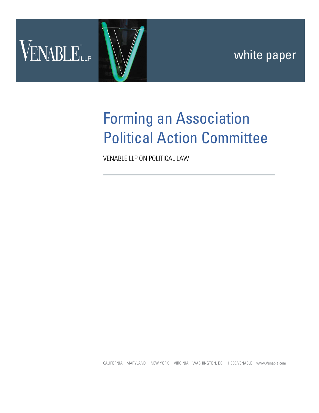

# Forming an Association Political Action Committee

VENABLE LLP ON POLITICAL LAW

CALIFORNIA MARYLAND NEW YORK VIRGINIA WASHINGTON, DC 1.888.VENABLE www.Venable.com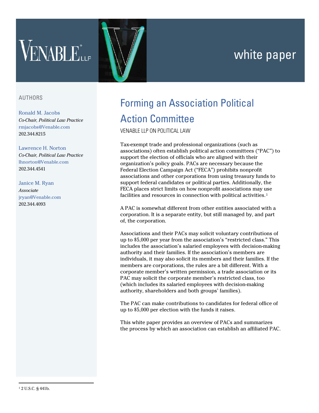# white paper



# AUTHORS

### [Ronald M. Jacobs](http://www.venable.com/ronald-m-jacobs/)

*Co-Chair, Political Law Practice*  [rmjacobs@Venable.com](mailto:rmjacobs@Venable.com) 202.344.8215

#### [Lawrence H. Norton](http://www.venable.com/lawrence-h-norton/)

*Co-Chair, Political Law Practice* [lhnorton@Venable.com](mailto:lhnorton@Venable.com) 202.344.4541

# [Janice M. Ryan](http://www.venable.com/janice-m-ryan/)

*Associate* [jryan@Venable.com](mailto:jryan@Venable.com) 202.344.4093

# Forming an Association Political Action Committee

VENABLE LLP ON POLITICAL LAW

Tax-exempt trade and professional organizations (such as associations) often establish political action committees ("PAC") to support the election of officials who are aligned with their organization's policy goals. PACs are necessary because the Federal Election Campaign Act ("FECA") prohibits nonprofit associations and other corporations from using treasury funds to support federal candidates or political parties. Additionally, the FECA places strict limits on how nonprofit associations may use facilities and resources in connection with political activities.<sup>[1](#page-1-0)</sup>

A PAC is somewhat different from other entities associated with a corporation. It is a separate entity, but still managed by, and part of, the corporation.

Associations and their PACs may solicit voluntary contributions of up to \$5,000 per year from the association's "restricted class." This includes the association's salaried employees with decision-making authority and their families. If the association's members are individuals, it may also solicit its members and their families. If the members are corporations, the rules are a bit different. With a corporate member's written permission, a trade association or its PAC may solicit the corporate member's restricted class, too (which includes its salaried employees with decision-making authority, shareholders and both groups' families).

The PAC can make contributions to candidates for federal office of up to \$5,000 per election with the funds it raises.

<span id="page-1-0"></span>This white paper provides an overview of PACs and summarizes the process by which an association can establish an affiliated PAC.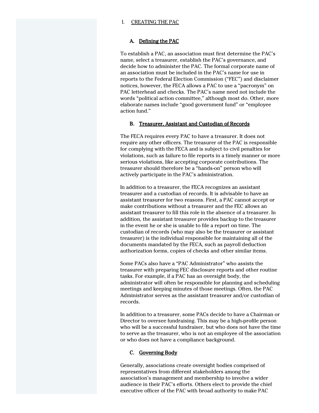#### I. CREATING THE PAC

#### A. Defining the PAC

To establish a PAC, an association must first determine the PAC's name, select a treasurer, establish the PAC's governance, and decide how to administer the PAC. The formal corporate name of an association must be included in the PAC's name for use in reports to the Federal Election Commission ("FEC") and disclaimer notices, however, the FECA allows a PAC to use a "pacronym" on PAC letterhead and checks. The PAC's name need not include the words "political action committee," although most do. Other, more elaborate names include "good government fund" or "employee action fund."

#### B. Treasurer, Assistant and Custodian of Records

The FECA requires every PAC to have a treasurer. It does not require any other officers. The treasurer of the PAC is responsible for complying with the FECA and is subject to civil penalties for violations, such as failure to file reports in a timely manner or more serious violations, like accepting corporate contributions. The treasurer should therefore be a "hands-on" person who will actively participate in the PAC's administration.

In addition to a treasurer, the FECA recognizes an assistant treasurer and a custodian of records. It is advisable to have an assistant treasurer for two reasons. First, a PAC cannot accept or make contributions without a treasurer and the FEC allows an assistant treasurer to fill this role in the absence of a treasurer. In addition, the assistant treasurer provides backup to the treasurer in the event he or she is unable to file a report on time. The custodian of records (who may also be the treasurer or assistant treasurer) is the individual responsible for maintaining all of the documents mandated by the FECA, such as payroll deduction authorization forms, copies of checks and other similar items.

Some PACs also have a "PAC Administrator" who assists the treasurer with preparing FEC disclosure reports and other routine tasks. For example, if a PAC has an oversight body, the administrator will often be responsible for planning and scheduling meetings and keeping minutes of those meetings. Often, the PAC Administrator serves as the assistant treasurer and/or custodian of records.

In addition to a treasurer, some PACs decide to have a Chairman or Director to oversee fundraising. This may be a high-profile person who will be a successful fundraiser, but who does not have the time to serve as the treasurer, who is not an employee of the association or who does not have a compliance background.

#### C. Governing Body

Generally, associations create oversight bodies comprised of representatives from different stakeholders among the association's management and membership to involve a wider audience in their PAC's efforts. Others elect to provide the chief executive officer of the PAC with broad authority to make PAC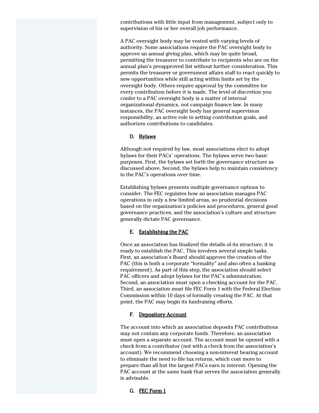contributions with little input from management, subject only to supervision of his or her overall job performance.

A PAC oversight body may be vested with varying levels of authority. Some associations require the PAC oversight body to approve an annual giving plan, which may be quite broad, permitting the treasurer to contribute to recipients who are on the annual plan's preapproved list without further consideration. This permits the treasurer or government affairs staff to react quickly to new opportunities while still acting within limits set by the oversight body. Others require approval by the committee for every contribution before it is made. The level of discretion you confer to a PAC oversight body is a matter of internal organizational dynamics, not campaign finance law. In many instances, the PAC oversight body has general supervision responsibility, an active role in setting contribution goals, and authorizes contributions to candidates.

# D. Bylaws

Although not required by law, most associations elect to adopt bylaws for their PACs' operations. The bylaws serve two basic purposes. First, the bylaws set forth the governance structure as discussed above. Second, the bylaws help to maintain consistency in the PAC's operations over time.

Establishing bylaws presents multiple governance options to consider. The FEC regulates how an association manages PAC operations in only a few limited areas, so prudential decisions based on the organization's policies and procedures, general good governance practices, and the association's culture and structure generally dictate PAC governance.

# E. Establishing the PAC

Once an association has finalized the details of its structure, it is ready to establish the PAC. This involves several simple tasks. First, an association's Board should approve the creation of the PAC (this is both a corporate "formality" and also often a banking requirement). As part of this step, the association should select PAC officers and adopt bylaws for the PAC's administration. Second, an association must open a checking account for the PAC. Third, an association must file FEC Form 1 with the Federal Election Commission within 10 days of formally creating the PAC. At that point, the PAC may begin its fundraising efforts.

# F. Depository Account

The account into which an association deposits PAC contributions may not contain any corporate funds. Therefore, an association must open a separate account. The account must be opened with a check from a contributor (not with a check from the association's account). We recommend choosing a non-interest bearing account to eliminate the need to file tax returns, which cost more to prepare than all but the largest PACs earn in interest. Opening the PAC account at the same bank that serves the association generally is advisable.

# G. FEC Form 1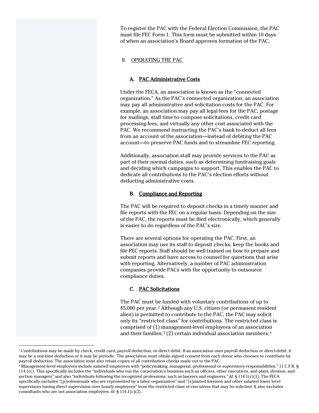To register the PAC with the Federal Election Commission, the PAC must file FEC Form 1. This form must be submitted within 10 days of when an association's Board approves formation of the PAC.

# II. OPERATING THE PAC

# A. PAC Administrative Costs

Under the FECA, an association is known as the "connected organization." As the PAC's connected organization, an association may pay all administrative and solicitation costs for the PAC. For example, an association may pay all legal fees for the PAC, postage for mailings, staff time to compose solicitations, credit card processing fees, and virtually any other cost associated with the PAC. We recommend instructing the PAC's bank to deduct all fees from an account of the association—instead of debiting the PAC account—to preserve PAC funds and to streamline FEC reporting.

Additionally, association staff may provide services to the PAC as part of their normal duties, such as determining fundraising goals and deciding which campaigns to support. This enables the PAC to dedicate all contributions to the PAC's election efforts without deducting administrative costs.

# B. Compliance and Reporting

The PAC will be required to deposit checks in a timely manner and file reports with the FEC on a regular basis. Depending on the size of the PAC, the reports must be filed electronically, which generally is easier to do regardless of the PAC's size.

There are several options for operating the PAC. First, an association may use its staff to deposit checks, keep the books and file FEC reports. Staff should be well trained on how to prepare and submit reports and have access to counsel for questions that arise with reporting. Alternatively, a number of PAC administration companies provide PACs with the opportunity to outsource compliance duties.

# C. PAC Solicitations

The PAC must be funded with voluntary contributions of up to \$5,000 per year.[2](#page-4-0) Although any U.S. citizen (or permanent resident alien) is permitted to contribute to the PAC, the PAC may solicit only its "restricted class" for contributions. The restricted class is comprised of (1) management-level employees of an association and their families;<sup>[3](#page-4-1)</sup> (2) certain individual association members;<sup>[4](#page-4-2)</sup>

 $\overline{a}$ 

<span id="page-4-2"></span><span id="page-4-0"></span><sup>&</sup>lt;sup>2</sup> Contributions may be made by check, credit card, payroll deduction, or direct debit. If an association uses payroll deduction or direct-debit, it may be a one-time deduction or it may be periodic. The association must obtain signed consent from each donor who chooses to contribute by payroll deduction. The association must also retain copies of all contribution checks made out to the PAC.

<span id="page-4-1"></span><sup>3</sup> Management-level employees include salaried employees with "policymaking, managerial, professional or supervisory responsibilities." 11 C.F.R. § 114.1(c). This specifically includes the "individuals who run the corporation's business such as officers, other executives, and plant, division, and section managers" and also "individuals following the recognized professions, such as lawyers and engineers." *Id.* § 114.1(c)(1). The FECA specifically excludes "[p]rofessionals who are represented by a labor organization" and "[s]alaried foremen and other salaried lower level supervisors having direct supervision over hourly employees" from the restricted class of executives that may be solicited. It also excludes consultants who are not association employees. *Id.* § 114.1(c)(2).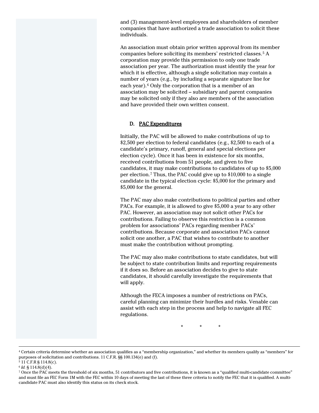and (3) management-level employees and shareholders of member companies that have authorized a trade association to solicit these individuals.

An association must obtain prior written approval from its member companies before soliciting its members' restricted classes.[5](#page-5-0) A corporation may provide this permission to only one trade association per year. The authorization must identify the year for which it is effective, although a single solicitation may contain a number of years (e.g., by including a separate signature line for each year).<sup>[6](#page-5-1)</sup> Only the corporation that is a member of an association may be solicited – subsidiary and parent companies may be solicited only if they also are members of the association and have provided their own written consent.

# D. PAC Expenditures

Initially, the PAC will be allowed to make contributions of up to \$2,500 per election to federal candidates (e.g., \$2,500 to each of a candidate's primary, runoff, general and special elections per election cycle). Once it has been in existence for six months, received contributions from 51 people, and given to five candidates, it may make contributions to candidates of up to \$5,000 per election.[7](#page-5-2) Thus, the PAC could give up to \$10,000 to a single candidate in the typical election cycle: \$5,000 for the primary and \$5,000 for the general.

The PAC may also make contributions to political parties and other PACs. For example, it is allowed to give \$5,000 a year to any other PAC. However, an association may not solicit other PACs for contributions. Failing to observe this restriction is a common problem for associations' PACs regarding member PACs' contributions. Because corporate and association PACs cannot solicit one another, a PAC that wishes to contribute to another must make the contribution without prompting.

The PAC may also make contributions to state candidates, but will be subject to state contribution limits and reporting requirements if it does so. Before an association decides to give to state candidates, it should carefully investigate the requirements that will apply.

Although the FECA imposes a number of restrictions on PACs, careful planning can minimize their hurdles and risks. Venable can assist with each step in the process and help to navigate all FEC regulations.

\* \* \*

 $\overline{a}$ 

<sup>4</sup> Certain criteria determine whether an association qualifies as a "membership organization," and whether its members qualify as "members" for purposes of solicitation and contributions. 11 C.F.R. §§ 100.134(e) and (f).

<span id="page-5-0"></span><sup>5</sup> 11 C.F.R § 114.8(c).

<span id="page-5-1"></span><sup>6</sup> *Id.* § 114.8(d)(4).

<span id="page-5-2"></span><sup>7</sup> Once the PAC meets the threshold of six months, 51 contributors and five contributions, it is known as a "qualified multi-candidate committee" and must file an FEC Form 1M with the FEC within 10 days of meeting the last of these three criteria to notify the FEC that it is qualified. A multicandidate PAC must also identify this status on its check stock.